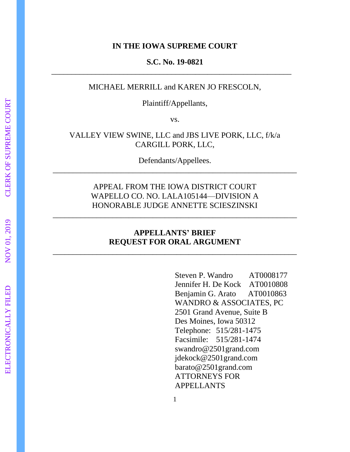#### **IN THE IOWA SUPREME COURT**

### **S.C. No. 19-0821**

\_\_\_\_\_\_\_\_\_\_\_\_\_\_\_\_\_\_\_\_\_\_\_\_\_\_\_\_\_\_\_\_\_\_\_\_\_\_\_\_\_\_\_\_\_\_\_\_\_\_\_\_\_\_\_\_\_\_\_\_

## MICHAEL MERRILL and KAREN JO FRESCOLN,

Plaintiff/Appellants,

vs.

## VALLEY VIEW SWINE, LLC and JBS LIVE PORK, LLC, f/k/a CARGILL PORK, LLC,

Defendants/Appellees. \_\_\_\_\_\_\_\_\_\_\_\_\_\_\_\_\_\_\_\_\_\_\_\_\_\_\_\_\_\_\_\_\_\_\_\_\_\_\_\_\_\_\_\_\_\_\_\_\_\_\_\_\_\_\_\_\_\_\_\_\_

# APPEAL FROM THE IOWA DISTRICT COURT WAPELLO CO. NO. LALA105144—DIVISION A HONORABLE JUDGE ANNETTE SCIESZINSKI

\_\_\_\_\_\_\_\_\_\_\_\_\_\_\_\_\_\_\_\_\_\_\_\_\_\_\_\_\_\_\_\_\_\_\_\_\_\_\_\_\_\_\_\_\_\_\_\_\_\_\_\_\_\_\_\_\_\_\_\_\_

## **APPELLANTS' BRIEF REQUEST FOR ORAL ARGUMENT**

\_\_\_\_\_\_\_\_\_\_\_\_\_\_\_\_\_\_\_\_\_\_\_\_\_\_\_\_\_\_\_\_\_\_\_\_\_\_\_\_\_\_\_\_\_\_\_\_\_\_\_\_\_\_\_\_\_\_\_\_\_

Steven P. Wandro AT0008177 Jennifer H. De Kock AT0010808 Benjamin G. Arato AT0010863 WANDRO & ASSOCIATES, PC 2501 Grand Avenue, Suite B Des Moines, Iowa 50312 Telephone: 515/281-1475 Facsimile: 515/281-1474 swandro@2501grand.com jdekock@2501grand.com barato@2501grand.com ATTORNEYS FOR APPELLANTS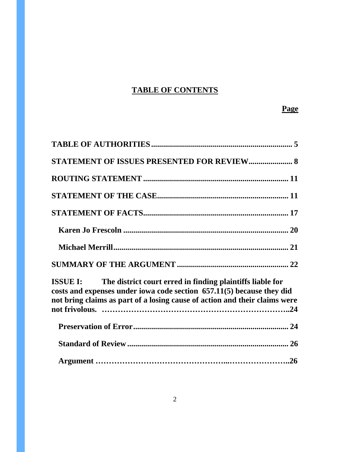# **TABLE OF CONTENTS**

# **Page**

| <b>STATEMENT OF ISSUES PRESENTED FOR REVIEW 8</b>                                                                                                                                                                                |
|----------------------------------------------------------------------------------------------------------------------------------------------------------------------------------------------------------------------------------|
|                                                                                                                                                                                                                                  |
|                                                                                                                                                                                                                                  |
|                                                                                                                                                                                                                                  |
|                                                                                                                                                                                                                                  |
|                                                                                                                                                                                                                                  |
|                                                                                                                                                                                                                                  |
| <b>ISSUE I:</b> The district court erred in finding plaintiffs liable for<br>costs and expenses under iowa code section 657.11(5) because they did<br>not bring claims as part of a losing cause of action and their claims were |
|                                                                                                                                                                                                                                  |
|                                                                                                                                                                                                                                  |
|                                                                                                                                                                                                                                  |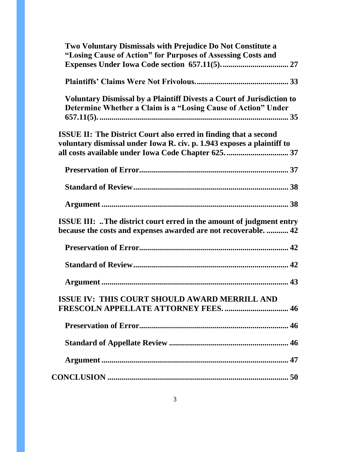| Two Voluntary Dismissals with Prejudice Do Not Constitute a<br>"Losing Cause of Action" for Purposes of Assessing Costs and                       |
|---------------------------------------------------------------------------------------------------------------------------------------------------|
|                                                                                                                                                   |
| <b>Voluntary Dismissal by a Plaintiff Divests a Court of Jurisdiction to</b><br>Determine Whether a Claim is a "Losing Cause of Action" Under     |
| <b>ISSUE II: The District Court also erred in finding that a second</b><br>voluntary dismissal under Iowa R. civ. p. 1.943 exposes a plaintiff to |
|                                                                                                                                                   |
|                                                                                                                                                   |
|                                                                                                                                                   |
| <b>ISSUE III:</b> The district court erred in the amount of judgment entry<br>because the costs and expenses awarded are not recoverable 42       |
|                                                                                                                                                   |
|                                                                                                                                                   |
|                                                                                                                                                   |
| ISSUE IV: THIS COURT SHOULD AWARD MERRILL AND<br><b>FRESCOLN APPELLATE ATTORNEY FEES.  46</b>                                                     |
|                                                                                                                                                   |
|                                                                                                                                                   |
|                                                                                                                                                   |
|                                                                                                                                                   |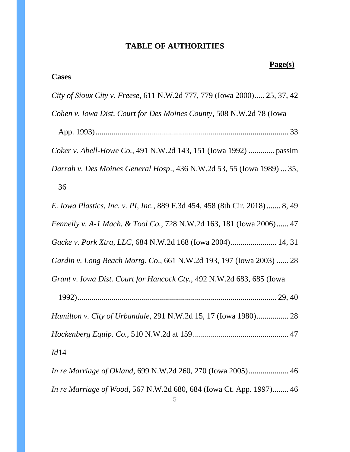# **TABLE OF AUTHORITIES**

# **Page(s)**

<span id="page-4-0"></span>

| <b>Cases</b>                                                                        |
|-------------------------------------------------------------------------------------|
| City of Sioux City v. Freese, 611 N.W.2d 777, 779 (Iowa 2000) 25, 37, 42            |
| Cohen v. Iowa Dist. Court for Des Moines County, 508 N.W.2d 78 (Iowa                |
|                                                                                     |
| Coker v. Abell-Howe Co., 491 N.W.2d 143, 151 (Iowa 1992)  passim                    |
| Darrah v. Des Moines General Hosp., 436 N.W.2d 53, 55 (Iowa 1989)  35,              |
| 36                                                                                  |
| <i>E. Iowa Plastics, Inc. v. PI, Inc., 889 F.3d 454, 458 (8th Cir. 2018)  8, 49</i> |
| Fennelly v. A-1 Mach. & Tool Co., 728 N.W.2d 163, 181 (Iowa 2006) 47                |
| Gacke v. Pork Xtra, LLC, 684 N.W.2d 168 (Iowa 2004) 14, 31                          |
| Gardin v. Long Beach Mortg. Co., 661 N.W.2d 193, 197 (Iowa 2003)  28                |
| Grant v. Iowa Dist. Court for Hancock Cty., 492 N.W.2d 683, 685 (Iowa               |
|                                                                                     |
| Hamilton v. City of Urbandale, 291 N.W.2d 15, 17 (Iowa 1980) 28                     |
|                                                                                     |
| Id14                                                                                |
| In re Marriage of Okland, 699 N.W.2d 260, 270 (Iowa 2005) 46                        |
| In re Marriage of Wood, 567 N.W.2d 680, 684 (Iowa Ct. App. 1997) 46                 |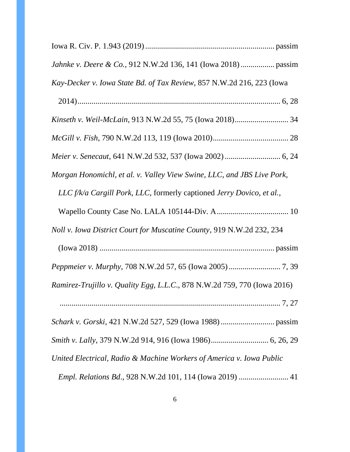| Kay-Decker v. Iowa State Bd. of Tax Review, 857 N.W.2d 216, 223 (Iowa    |
|--------------------------------------------------------------------------|
|                                                                          |
|                                                                          |
|                                                                          |
|                                                                          |
| Morgan Honomichl, et al. v. Valley View Swine, LLC, and JBS Live Pork,   |
| LLC f/k/a Cargill Pork, LLC, formerly captioned Jerry Dovico, et al.,    |
|                                                                          |
| Noll v. Iowa District Court for Muscatine County, 919 N.W.2d 232, 234    |
|                                                                          |
|                                                                          |
| Ramirez-Trujillo v. Quality Egg, L.L.C., 878 N.W.2d 759, 770 (Iowa 2016) |
|                                                                          |
|                                                                          |
|                                                                          |
| United Electrical, Radio & Machine Workers of America v. Iowa Public     |
| <i>Empl. Relations Bd., 928 N.W.2d 101, 114 (Iowa 2019) </i> 41          |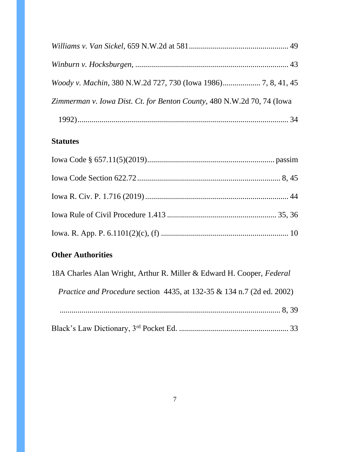| Woody v. Machin, 380 N.W.2d 727, 730 (Iowa 1986) 7, 8, 41, 45          |  |
|------------------------------------------------------------------------|--|
| Zimmerman v. Iowa Dist. Ct. for Benton County, 480 N.W.2d 70, 74 (Iowa |  |
|                                                                        |  |

# **Statutes**

# **Other Authorities**

| 18A Charles Alan Wright, Arthur R. Miller & Edward H. Cooper, Federal             |
|-----------------------------------------------------------------------------------|
| <i>Practice and Procedure section 4435, at 132-35 &amp; 134 n.7 (2d ed. 2002)</i> |
|                                                                                   |
|                                                                                   |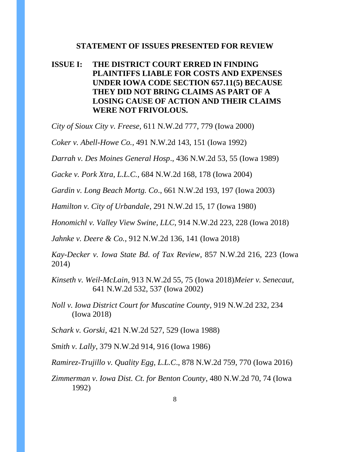#### **STATEMENT OF ISSUES PRESENTED FOR REVIEW**

# <span id="page-7-0"></span>**ISSUE I: THE DISTRICT COURT ERRED IN FINDING PLAINTIFFS LIABLE FOR COSTS AND EXPENSES UNDER IOWA CODE SECTION 657.11(5) BECAUSE THEY DID NOT BRING CLAIMS AS PART OF A LOSING CAUSE OF ACTION AND THEIR CLAIMS WERE NOT FRIVOLOUS.**

*City of Sioux City v. Freese,* 611 N.W.2d 777, 779 (Iowa 2000)

*Coker v. Abell-Howe Co.,* 491 N.W.2d 143, 151 (Iowa 1992)

*Darrah v. Des Moines General Hosp*., 436 N.W.2d 53, 55 (Iowa 1989)

*Gacke v. Pork Xtra, L.L.C.*, 684 N.W.2d 168, 178 (Iowa 2004)

*Gardin v. Long Beach Mortg. Co*., 661 N.W.2d 193, 197 (Iowa 2003)

*Hamilton v. City of Urbandale*, 291 N.W.2d 15, 17 (Iowa 1980)

*Honomichl v. Valley View Swine, LLC*, 914 N.W.2d 223, 228 (Iowa 2018)

*Jahnke v. Deere & Co.*, 912 N.W.2d 136, 141 (Iowa 2018)

*Kay-Decker v. Iowa State Bd. of Tax Review*, 857 N.W.2d 216, 223 (Iowa 2014)

*Kinseth v. Weil-McLain*, 913 N.W.2d 55, 75 (Iowa 2018)*Meier v. Senecaut,*  641 N.W.2d 532, 537 (Iowa 2002)

*Noll v. Iowa District Court for Muscatine County*, 919 N.W.2d 232, 234 (Iowa 2018)

*Schark v. Gorski*, 421 N.W.2d 527, 529 (Iowa 1988)

*Smith v. Lally*, 379 N.W.2d 914, 916 (Iowa 1986)

*Ramirez-Trujillo v. Quality Egg, L.L.C*., 878 N.W.2d 759, 770 (Iowa 2016)

*Zimmerman v. Iowa Dist. Ct. for Benton County*, 480 N.W.2d 70, 74 (Iowa 1992)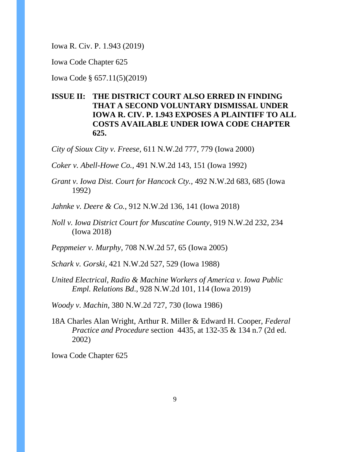Iowa R. Civ. P. 1.943 (2019)

Iowa Code Chapter 625

Iowa Code § 657.11(5)(2019)

# **ISSUE II: THE DISTRICT COURT ALSO ERRED IN FINDING THAT A SECOND VOLUNTARY DISMISSAL UNDER IOWA R. CIV. P. 1.943 EXPOSES A PLAINTIFF TO ALL COSTS AVAILABLE UNDER IOWA CODE CHAPTER 625.**

*City of Sioux City v. Freese,* 611 N.W.2d 777, 779 (Iowa 2000)

*Coker v. Abell-Howe Co.,* 491 N.W.2d 143, 151 (Iowa 1992)

*Grant v. Iowa Dist. Court for Hancock Cty.,* 492 N.W.2d 683, 685 (Iowa 1992)

*Jahnke v. Deere & Co.*, 912 N.W.2d 136, 141 (Iowa 2018)

*Noll v. Iowa District Court for Muscatine County*, 919 N.W.2d 232, 234 (Iowa 2018)

*Peppmeier v. Murphy*, 708 N.W.2d 57, 65 (Iowa 2005)

*Schark v. Gorski*, 421 N.W.2d 527, 529 (Iowa 1988)

*United Electrical, Radio & Machine Workers of America v. Iowa Public Empl. Relations Bd*., 928 N.W.2d 101, 114 (Iowa 2019)

*Woody v. Machin*, 380 N.W.2d 727, 730 (Iowa 1986)

18A Charles Alan Wright, Arthur R. Miller & Edward H. Cooper, *Federal Practice and Procedure* section 4435, at 132-35 & 134 n.7 (2d ed. 2002)

Iowa Code Chapter 625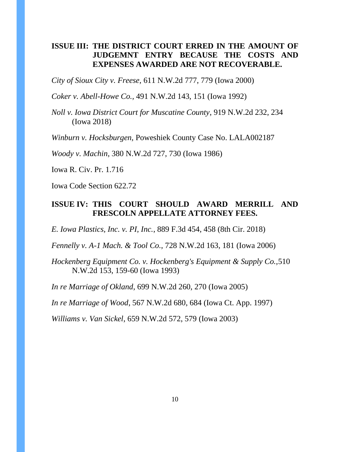# **ISSUE III: THE DISTRICT COURT ERRED IN THE AMOUNT OF JUDGEMNT ENTRY BECAUSE THE COSTS AND EXPENSES AWARDED ARE NOT RECOVERABLE.**

*City of Sioux City v. Freese,* 611 N.W.2d 777, 779 (Iowa 2000)

*Coker v. Abell-Howe Co.,* 491 N.W.2d 143, 151 (Iowa 1992)

*Noll v. Iowa District Court for Muscatine County*, 919 N.W.2d 232, 234 (Iowa 2018)

*Winburn v. Hocksburgen,* Poweshiek County Case No. LALA002187

*Woody v. Machin*, 380 N.W.2d 727, 730 (Iowa 1986)

Iowa R. Civ. Pr. 1.716

Iowa Code Section 622.72

## **ISSUE IV: THIS COURT SHOULD AWARD MERRILL AND FRESCOLN APPELLATE ATTORNEY FEES.**

*E. Iowa Plastics, Inc. v. PI, Inc.*, 889 F.3d 454, 458 (8th Cir. 2018)

*Fennelly v. A-1 Mach. & Tool Co.*, 728 N.W.2d 163, 181 (Iowa 2006)

*Hockenberg Equipment Co. v. Hockenberg's Equipment & Supply Co.,*510 N.W.2d 153, 159-60 (Iowa 1993)

*In re Marriage of Okland*, 699 N.W.2d 260, 270 (Iowa 2005)

*In re Marriage of Wood*, 567 N.W.2d 680, 684 (Iowa Ct. App. 1997)

*Williams v. Van Sickel*, 659 N.W.2d 572, 579 (Iowa 2003)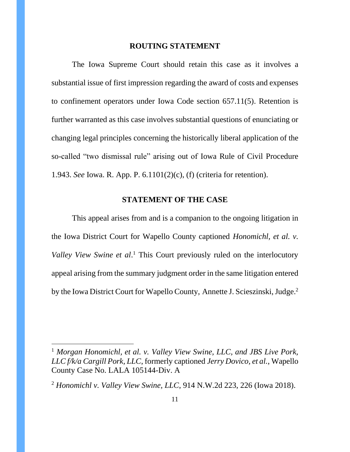#### **ROUTING STATEMENT**

<span id="page-10-0"></span>The Iowa Supreme Court should retain this case as it involves a substantial issue of first impression regarding the award of costs and expenses to confinement operators under Iowa Code section 657.11(5). Retention is further warranted as this case involves substantial questions of enunciating or changing legal principles concerning the historically liberal application of the so-called "two dismissal rule" arising out of Iowa Rule of Civil Procedure 1.943. *See* Iowa. R. App. P. 6.1101(2)(c), (f) (criteria for retention).

#### **STATEMENT OF THE CASE**

<span id="page-10-1"></span>This appeal arises from and is a companion to the ongoing litigation in the Iowa District Court for Wapello County captioned *Honomichl, et al. v. Valley View Swine et al*. <sup>1</sup> This Court previously ruled on the interlocutory appeal arising from the summary judgment order in the same litigation entered by the Iowa District Court for Wapello County, Annette J. Scieszinski, Judge.<sup>2</sup>

<sup>1</sup> *Morgan Honomichl, et al. v. Valley View Swine, LLC, and JBS Live Pork, LLC f/k/a Cargill Pork, LLC*, formerly captioned *Jerry Dovico, et al.*, Wapello County Case No. LALA 105144-Div. A

<sup>2</sup> *Honomichl v. Valley View Swine, LLC*, 914 N.W.2d 223, 226 (Iowa 2018).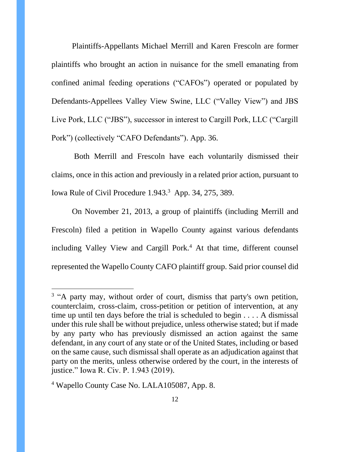Plaintiffs-Appellants Michael Merrill and Karen Frescoln are former plaintiffs who brought an action in nuisance for the smell emanating from confined animal feeding operations ("CAFOs") operated or populated by Defendants-Appellees Valley View Swine, LLC ("Valley View") and JBS Live Pork, LLC ("JBS"), successor in interest to Cargill Pork, LLC ("Cargill Pork") (collectively "CAFO Defendants"). App. 36.

Both Merrill and Frescoln have each voluntarily dismissed their claims, once in this action and previously in a related prior action, pursuant to Iowa Rule of Civil Procedure 1.943.<sup>3</sup> App. 34, 275, 389.

On November 21, 2013, a group of plaintiffs (including Merrill and Frescoln) filed a petition in Wapello County against various defendants including Valley View and Cargill Pork.<sup>4</sup> At that time, different counsel represented the Wapello County CAFO plaintiff group. Said prior counsel did

<sup>&</sup>lt;sup>3</sup> "A party may, without order of court, dismiss that party's own petition, counterclaim, cross-claim, cross-petition or petition of intervention, at any time up until ten days before the trial is scheduled to begin . . . . A dismissal under this rule shall be without prejudice, unless otherwise stated; but if made by any party who has previously dismissed an action against the same defendant, in any court of any state or of the United States, including or based on the same cause, such dismissal shall operate as an adjudication against that party on the merits, unless otherwise ordered by the court, in the interests of justice." Iowa R. Civ. P. 1.943 (2019).

<sup>4</sup> Wapello County Case No. LALA105087, App. 8.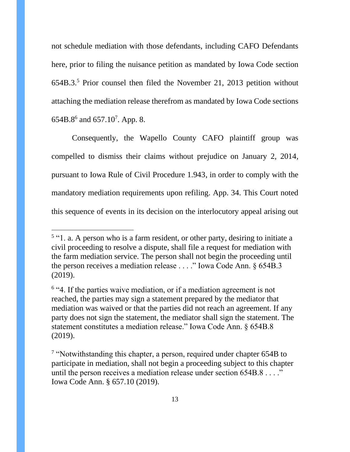not schedule mediation with those defendants, including CAFO Defendants here, prior to filing the nuisance petition as mandated by Iowa Code section 654B.3. <sup>5</sup> Prior counsel then filed the November 21, 2013 petition without attaching the mediation release therefrom as mandated by Iowa Code sections 654B.8 $^6$  and 657.10<sup>7</sup>. App. 8.

Consequently, the Wapello County CAFO plaintiff group was compelled to dismiss their claims without prejudice on January 2, 2014, pursuant to Iowa Rule of Civil Procedure 1.943, in order to comply with the mandatory mediation requirements upon refiling. App. 34. This Court noted this sequence of events in its decision on the interlocutory appeal arising out

<sup>&</sup>lt;sup>5</sup> "1. a. A person who is a farm resident, or other party, desiring to initiate a civil proceeding to resolve a dispute, shall file a request for mediation with the farm mediation service. The person shall not begin the proceeding until the person receives a mediation release . . . ." Iowa Code Ann. § 654B.3 (2019).

<sup>&</sup>lt;sup>6</sup> "4. If the parties waive mediation, or if a mediation agreement is not reached, the parties may sign a statement prepared by the mediator that mediation was waived or that the parties did not reach an agreement. If any party does not sign the statement, the mediator shall sign the statement. The statement constitutes a mediation release." Iowa Code Ann. § 654B.8 (2019).

<sup>&</sup>lt;sup>7</sup> "Notwithstanding this chapter, a person, required under chapter 654B to participate in mediation, shall not begin a proceeding subject to this chapter until the person receives a mediation release under section 654B.8 . . . ." Iowa Code Ann. § 657.10 (2019).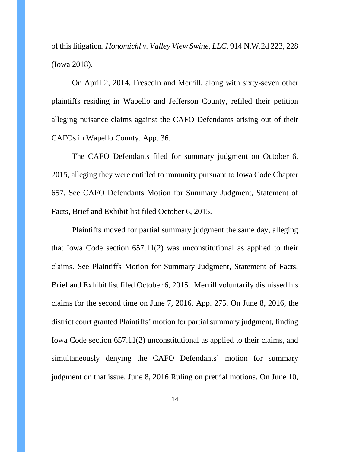of this litigation. *Honomichl v. Valley View Swine, LLC*, 914 N.W.2d 223, 228 (Iowa 2018).

On April 2, 2014, Frescoln and Merrill, along with sixty-seven other plaintiffs residing in Wapello and Jefferson County, refiled their petition alleging nuisance claims against the CAFO Defendants arising out of their CAFOs in Wapello County. App. 36.

The CAFO Defendants filed for summary judgment on October 6, 2015, alleging they were entitled to immunity pursuant to Iowa Code Chapter 657. See CAFO Defendants Motion for Summary Judgment, Statement of Facts, Brief and Exhibit list filed October 6, 2015.

Plaintiffs moved for partial summary judgment the same day, alleging that Iowa Code section 657.11(2) was unconstitutional as applied to their claims. See Plaintiffs Motion for Summary Judgment, Statement of Facts, Brief and Exhibit list filed October 6, 2015. Merrill voluntarily dismissed his claims for the second time on June 7, 2016. App. 275. On June 8, 2016, the district court granted Plaintiffs' motion for partial summary judgment, finding Iowa Code section 657.11(2) unconstitutional as applied to their claims, and simultaneously denying the CAFO Defendants' motion for summary judgment on that issue. June 8, 2016 Ruling on pretrial motions. On June 10,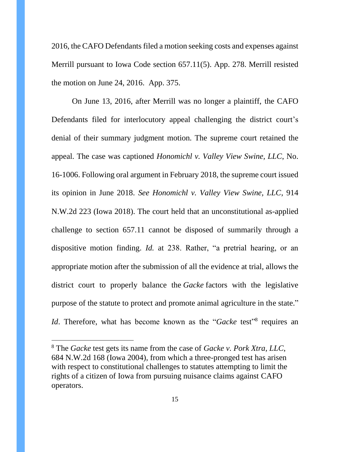2016, the CAFO Defendants filed a motion seeking costs and expenses against Merrill pursuant to Iowa Code section 657.11(5). App. 278. Merrill resisted the motion on June 24, 2016. App. 375.

On June 13, 2016, after Merrill was no longer a plaintiff, the CAFO Defendants filed for interlocutory appeal challenging the district court's denial of their summary judgment motion. The supreme court retained the appeal. The case was captioned *Honomichl v. Valley View Swine, LLC*, No. 16-1006. Following oral argument in February 2018, the supreme court issued its opinion in June 2018. *See Honomichl v. Valley View Swine, LLC*, 914 N.W.2d 223 (Iowa 2018). The court held that an unconstitutional as-applied challenge to section 657.11 cannot be disposed of summarily through a dispositive motion finding. *Id.* at 238. Rather, "a pretrial hearing, or an appropriate motion after the submission of all the evidence at trial, allows the district court to properly balance the *Gacke* factors with the legislative purpose of the statute to protect and promote animal agriculture in the state." *Id*. Therefore, what has become known as the "*Gacke* test"<sup>8</sup> requires an

<sup>8</sup> The *Gacke* test gets its name from the case of *Gacke v. Pork Xtra, LLC*, 684 N.W.2d 168 (Iowa 2004), from which a three-pronged test has arisen with respect to constitutional challenges to statutes attempting to limit the rights of a citizen of Iowa from pursuing nuisance claims against CAFO operators.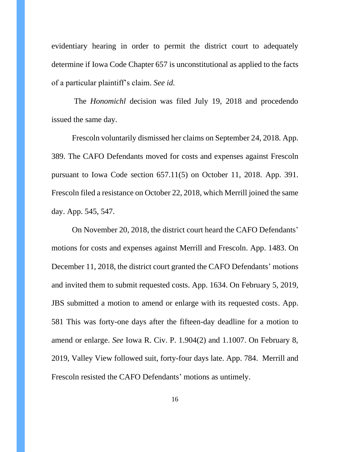evidentiary hearing in order to permit the district court to adequately determine if Iowa Code Chapter 657 is unconstitutional as applied to the facts of a particular plaintiff's claim. *See id.*

The *Honomichl* decision was filed July 19, 2018 and procedendo issued the same day.

Frescoln voluntarily dismissed her claims on September 24, 2018. App. 389. The CAFO Defendants moved for costs and expenses against Frescoln pursuant to Iowa Code section 657.11(5) on October 11, 2018. App. 391. Frescoln filed a resistance on October 22, 2018, which Merrill joined the same day. App. 545, 547.

On November 20, 2018, the district court heard the CAFO Defendants' motions for costs and expenses against Merrill and Frescoln. App. 1483. On December 11, 2018, the district court granted the CAFO Defendants' motions and invited them to submit requested costs. App. 1634. On February 5, 2019, JBS submitted a motion to amend or enlarge with its requested costs. App. 581 This was forty-one days after the fifteen-day deadline for a motion to amend or enlarge. *See* Iowa R. Civ. P. 1.904(2) and 1.1007. On February 8, 2019, Valley View followed suit, forty-four days late. App. 784. Merrill and Frescoln resisted the CAFO Defendants' motions as untimely.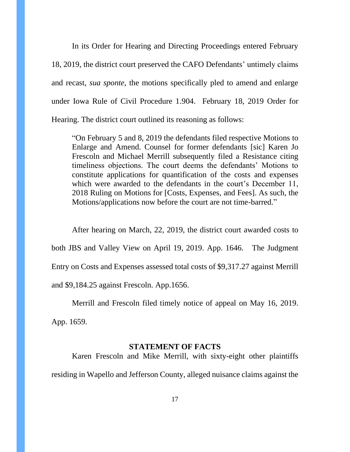In its Order for Hearing and Directing Proceedings entered February 18, 2019, the district court preserved the CAFO Defendants' untimely claims and recast, *sua sponte*, the motions specifically pled to amend and enlarge under Iowa Rule of Civil Procedure 1.904. February 18, 2019 Order for Hearing. The district court outlined its reasoning as follows:

"On February 5 and 8, 2019 the defendants filed respective Motions to Enlarge and Amend. Counsel for former defendants [sic] Karen Jo Frescoln and Michael Merrill subsequently filed a Resistance citing timeliness objections. The court deems the defendants' Motions to constitute applications for quantification of the costs and expenses which were awarded to the defendants in the court's December 11, 2018 Ruling on Motions for [Costs, Expenses, and Fees]. As such, the Motions/applications now before the court are not time-barred."

After hearing on March, 22, 2019, the district court awarded costs to both JBS and Valley View on April 19, 2019. App. 1646. The Judgment Entry on Costs and Expenses assessed total costs of \$9,317.27 against Merrill and \$9,184.25 against Frescoln. App.1656.

Merrill and Frescoln filed timely notice of appeal on May 16, 2019. App. 1659.

#### **STATEMENT OF FACTS**

<span id="page-16-0"></span>Karen Frescoln and Mike Merrill, with sixty-eight other plaintiffs residing in Wapello and Jefferson County, alleged nuisance claims against the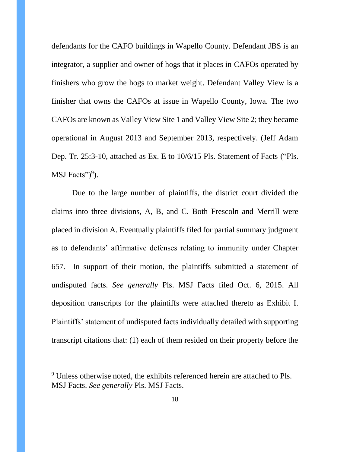defendants for the CAFO buildings in Wapello County. Defendant JBS is an integrator, a supplier and owner of hogs that it places in CAFOs operated by finishers who grow the hogs to market weight. Defendant Valley View is a finisher that owns the CAFOs at issue in Wapello County, Iowa. The two CAFOs are known as Valley View Site 1 and Valley View Site 2; they became operational in August 2013 and September 2013, respectively. (Jeff Adam Dep. Tr. 25:3-10, attached as Ex. E to 10/6/15 Pls. Statement of Facts ("Pls. MSJ Facts")<sup>9</sup>).

Due to the large number of plaintiffs, the district court divided the claims into three divisions, A, B, and C. Both Frescoln and Merrill were placed in division A. Eventually plaintiffs filed for partial summary judgment as to defendants' affirmative defenses relating to immunity under Chapter 657. In support of their motion, the plaintiffs submitted a statement of undisputed facts. *See generally* Pls. MSJ Facts filed Oct. 6, 2015. All deposition transcripts for the plaintiffs were attached thereto as Exhibit I. Plaintiffs' statement of undisputed facts individually detailed with supporting transcript citations that: (1) each of them resided on their property before the

<sup>&</sup>lt;sup>9</sup> Unless otherwise noted, the exhibits referenced herein are attached to Pls. MSJ Facts. *See generally* Pls. MSJ Facts.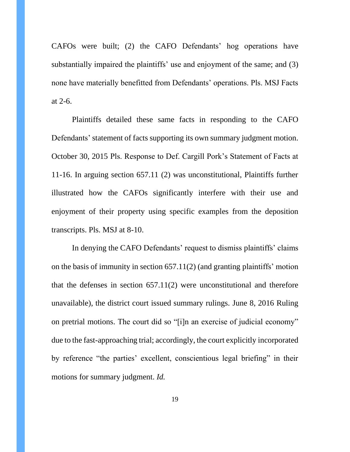CAFOs were built; (2) the CAFO Defendants' hog operations have substantially impaired the plaintiffs' use and enjoyment of the same; and (3) none have materially benefitted from Defendants' operations. Pls. MSJ Facts at 2-6.

Plaintiffs detailed these same facts in responding to the CAFO Defendants' statement of facts supporting its own summary judgment motion. October 30, 2015 Pls. Response to Def. Cargill Pork's Statement of Facts at 11-16. In arguing section 657.11 (2) was unconstitutional, Plaintiffs further illustrated how the CAFOs significantly interfere with their use and enjoyment of their property using specific examples from the deposition transcripts. Pls. MSJ at 8-10.

In denying the CAFO Defendants' request to dismiss plaintiffs' claims on the basis of immunity in section 657.11(2) (and granting plaintiffs' motion that the defenses in section 657.11(2) were unconstitutional and therefore unavailable), the district court issued summary rulings. June 8, 2016 Ruling on pretrial motions. The court did so "[i]n an exercise of judicial economy" due to the fast-approaching trial; accordingly, the court explicitly incorporated by reference "the parties' excellent, conscientious legal briefing" in their motions for summary judgment. *Id.*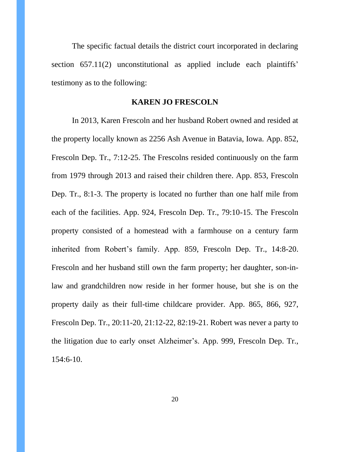The specific factual details the district court incorporated in declaring section 657.11(2) unconstitutional as applied include each plaintiffs' testimony as to the following:

### **KAREN JO FRESCOLN**

<span id="page-19-0"></span>In 2013, Karen Frescoln and her husband Robert owned and resided at the property locally known as 2256 Ash Avenue in Batavia, Iowa. App. 852, Frescoln Dep. Tr., 7:12-25. The Frescolns resided continuously on the farm from 1979 through 2013 and raised their children there. App. 853, Frescoln Dep. Tr., 8:1-3. The property is located no further than one half mile from each of the facilities. App. 924, Frescoln Dep. Tr., 79:10-15. The Frescoln property consisted of a homestead with a farmhouse on a century farm inherited from Robert's family. App. 859, Frescoln Dep. Tr., 14:8-20. Frescoln and her husband still own the farm property; her daughter, son-inlaw and grandchildren now reside in her former house, but she is on the property daily as their full-time childcare provider. App. 865, 866, 927, Frescoln Dep. Tr., 20:11-20, 21:12-22, 82:19-21. Robert was never a party to the litigation due to early onset Alzheimer's. App. 999, Frescoln Dep. Tr., 154:6-10.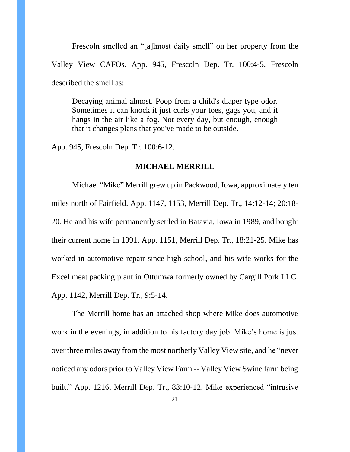Frescoln smelled an "[a]lmost daily smell" on her property from the Valley View CAFOs. App. 945, Frescoln Dep. Tr. 100:4-5. Frescoln described the smell as:

Decaying animal almost. Poop from a child's diaper type odor. Sometimes it can knock it just curls your toes, gags you, and it hangs in the air like a fog. Not every day, but enough, enough that it changes plans that you've made to be outside.

<span id="page-20-0"></span>App. 945, Frescoln Dep. Tr. 100:6-12.

#### **MICHAEL MERRILL**

Michael "Mike" Merrill grew up in Packwood, Iowa, approximately ten miles north of Fairfield. App. 1147, 1153, Merrill Dep. Tr., 14:12-14; 20:18- 20. He and his wife permanently settled in Batavia, Iowa in 1989, and bought their current home in 1991. App. 1151, Merrill Dep. Tr., 18:21-25. Mike has worked in automotive repair since high school, and his wife works for the Excel meat packing plant in Ottumwa formerly owned by Cargill Pork LLC. App. 1142, Merrill Dep. Tr., 9:5-14.

The Merrill home has an attached shop where Mike does automotive work in the evenings, in addition to his factory day job. Mike's home is just over three miles away from the most northerly Valley View site, and he "never noticed any odors prior to Valley View Farm -- Valley View Swine farm being built." App. 1216, Merrill Dep. Tr., 83:10-12. Mike experienced "intrusive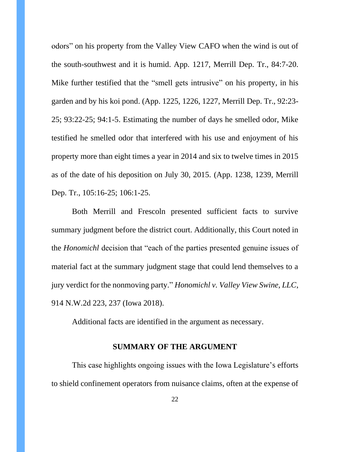odors" on his property from the Valley View CAFO when the wind is out of the south-southwest and it is humid. App. 1217, Merrill Dep. Tr., 84:7-20. Mike further testified that the "smell gets intrusive" on his property, in his garden and by his koi pond. (App. 1225, 1226, 1227, Merrill Dep. Tr., 92:23- 25; 93:22-25; 94:1-5. Estimating the number of days he smelled odor, Mike testified he smelled odor that interfered with his use and enjoyment of his property more than eight times a year in 2014 and six to twelve times in 2015 as of the date of his deposition on July 30, 2015. (App. 1238, 1239, Merrill Dep. Tr., 105:16-25; 106:1-25.

Both Merrill and Frescoln presented sufficient facts to survive summary judgment before the district court. Additionally, this Court noted in the *Honomichl* decision that "each of the parties presented genuine issues of material fact at the summary judgment stage that could lend themselves to a jury verdict for the nonmoving party." *Honomichl v. Valley View Swine, LLC*, 914 N.W.2d 223, 237 (Iowa 2018).

Additional facts are identified in the argument as necessary.

## **SUMMARY OF THE ARGUMENT**

<span id="page-21-0"></span>This case highlights ongoing issues with the Iowa Legislature's efforts to shield confinement operators from nuisance claims, often at the expense of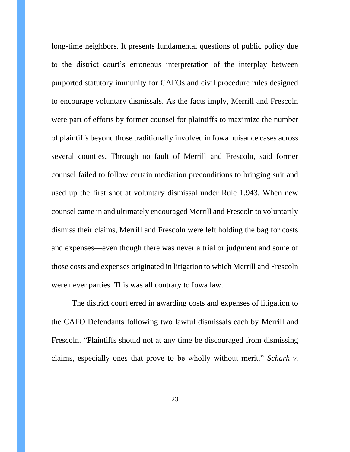long-time neighbors. It presents fundamental questions of public policy due to the district court's erroneous interpretation of the interplay between purported statutory immunity for CAFOs and civil procedure rules designed to encourage voluntary dismissals. As the facts imply, Merrill and Frescoln were part of efforts by former counsel for plaintiffs to maximize the number of plaintiffs beyond those traditionally involved in Iowa nuisance cases across several counties. Through no fault of Merrill and Frescoln, said former counsel failed to follow certain mediation preconditions to bringing suit and used up the first shot at voluntary dismissal under Rule 1.943. When new counsel came in and ultimately encouraged Merrill and Frescoln to voluntarily dismiss their claims, Merrill and Frescoln were left holding the bag for costs and expenses—even though there was never a trial or judgment and some of those costs and expenses originated in litigation to which Merrill and Frescoln were never parties. This was all contrary to Iowa law.

The district court erred in awarding costs and expenses of litigation to the CAFO Defendants following two lawful dismissals each by Merrill and Frescoln. "Plaintiffs should not at any time be discouraged from dismissing claims, especially ones that prove to be wholly without merit." *Schark v.*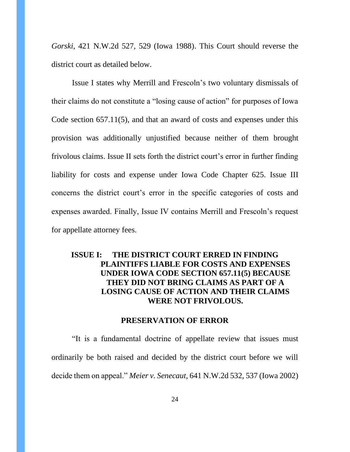*Gorski*, 421 N.W.2d 527, 529 (Iowa 1988). This Court should reverse the district court as detailed below.

Issue I states why Merrill and Frescoln's two voluntary dismissals of their claims do not constitute a "losing cause of action" for purposes of Iowa Code section 657.11(5), and that an award of costs and expenses under this provision was additionally unjustified because neither of them brought frivolous claims. Issue II sets forth the district court's error in further finding liability for costs and expense under Iowa Code Chapter 625. Issue III concerns the district court's error in the specific categories of costs and expenses awarded. Finally, Issue IV contains Merrill and Frescoln's request for appellate attorney fees.

# <span id="page-23-0"></span>**ISSUE I: THE DISTRICT COURT ERRED IN FINDING PLAINTIFFS LIABLE FOR COSTS AND EXPENSES UNDER IOWA CODE SECTION 657.11(5) BECAUSE THEY DID NOT BRING CLAIMS AS PART OF A LOSING CAUSE OF ACTION AND THEIR CLAIMS WERE NOT FRIVOLOUS.**

#### **PRESERVATION OF ERROR**

<span id="page-23-1"></span>"It is a fundamental doctrine of appellate review that issues must ordinarily be both raised and decided by the district court before we will decide them on appeal." *Meier v. Senecaut,* 641 N.W.2d 532, 537 (Iowa 2002)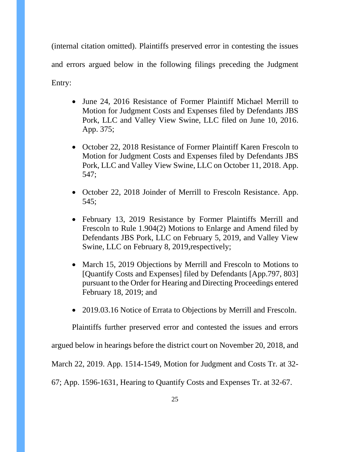(internal citation omitted). Plaintiffs preserved error in contesting the issues and errors argued below in the following filings preceding the Judgment Entry:

- June 24, 2016 Resistance of Former Plaintiff Michael Merrill to Motion for Judgment Costs and Expenses filed by Defendants JBS Pork, LLC and Valley View Swine, LLC filed on June 10, 2016. App. 375;
- October 22, 2018 Resistance of Former Plaintiff Karen Frescoln to Motion for Judgment Costs and Expenses filed by Defendants JBS Pork, LLC and Valley View Swine, LLC on October 11, 2018. App. 547;
- October 22, 2018 Joinder of Merrill to Frescoln Resistance. App. 545;
- February 13, 2019 Resistance by Former Plaintiffs Merrill and Frescoln to Rule 1.904(2) Motions to Enlarge and Amend filed by Defendants JBS Pork, LLC on February 5, 2019, and Valley View Swine, LLC on February 8, 2019,respectively;
- March 15, 2019 Objections by Merrill and Frescoln to Motions to [Quantify Costs and Expenses] filed by Defendants [App.797, 803] pursuant to the Order for Hearing and Directing Proceedings entered February 18, 2019; and
- 2019.03.16 Notice of Errata to Objections by Merrill and Frescoln.

Plaintiffs further preserved error and contested the issues and errors

argued below in hearings before the district court on November 20, 2018, and

March 22, 2019. App. 1514-1549, Motion for Judgment and Costs Tr. at 32-

67; App. 1596-1631, Hearing to Quantify Costs and Expenses Tr. at 32-67.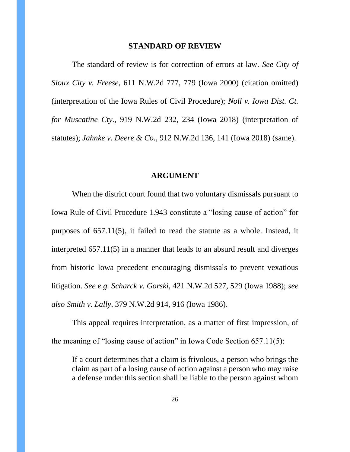#### **STANDARD OF REVIEW**

<span id="page-25-0"></span>The standard of review is for correction of errors at law. *See City of Sioux City v. Freese,* 611 N.W.2d 777, 779 (Iowa 2000) (citation omitted) (interpretation of the Iowa Rules of Civil Procedure); *Noll v. Iowa Dist. Ct. for Muscatine Cty.*, 919 N.W.2d 232, 234 (Iowa 2018) (interpretation of statutes); *Jahnke v. Deere & Co.*, 912 N.W.2d 136, 141 (Iowa 2018) (same).

#### **ARGUMENT**

<span id="page-25-1"></span>When the district court found that two voluntary dismissals pursuant to Iowa Rule of Civil Procedure 1.943 constitute a "losing cause of action" for purposes of 657.11(5), it failed to read the statute as a whole. Instead, it interpreted 657.11(5) in a manner that leads to an absurd result and diverges from historic Iowa precedent encouraging dismissals to prevent vexatious litigation. *See e.g. Scharck v. Gorski*, 421 N.W.2d 527, 529 (Iowa 1988); *see also Smith v. Lally*, 379 N.W.2d 914, 916 (Iowa 1986).

This appeal requires interpretation, as a matter of first impression, of the meaning of "losing cause of action" in Iowa Code Section 657.11(5):

If a court determines that a claim is frivolous, a person who brings the claim as part of a losing cause of action against a person who may raise a defense under this section shall be liable to the person against whom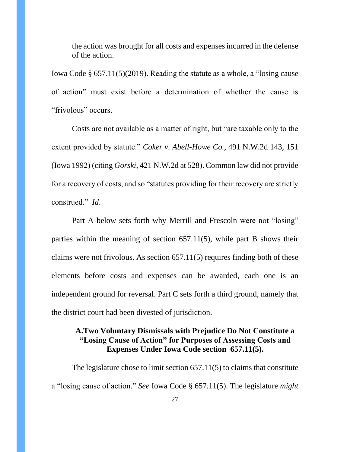the action was brought for all costs and expenses incurred in the defense of the action.

Iowa Code § 657.11(5)(2019). Reading the statute as a whole, a "losing cause of action" must exist before a determination of whether the cause is "frivolous" occurs.

Costs are not available as a matter of right, but "are taxable only to the extent provided by statute." *Coker v. Abell-Howe Co.,* 491 N.W.2d 143, 151 (Iowa 1992) (citing *Gorski*, 421 N.W.2d at 528). Common law did not provide for a recovery of costs, and so "statutes providing for their recovery are strictly construed." *Id*.

Part A below sets forth why Merrill and Frescoln were not "losing" parties within the meaning of section 657.11(5), while part B shows their claims were not frivolous. As section 657.11(5) requires finding both of these elements before costs and expenses can be awarded, each one is an independent ground for reversal. Part C sets forth a third ground, namely that the district court had been divested of jurisdiction.

# <span id="page-26-0"></span>**A.Two Voluntary Dismissals with Prejudice Do Not Constitute a "Losing Cause of Action" for Purposes of Assessing Costs and Expenses Under Iowa Code section 657.11(5).**

The legislature chose to limit section 657.11(5) to claims that constitute a "losing cause of action." *See* Iowa Code § 657.11(5). The legislature *might*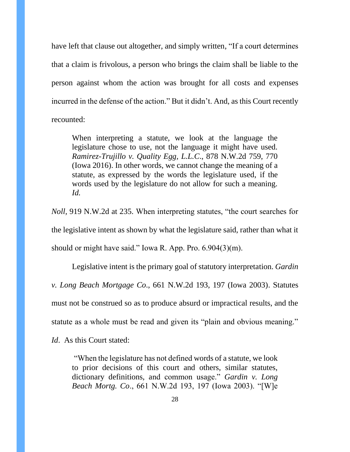have left that clause out altogether, and simply written, "If a court determines that a claim is frivolous, a person who brings the claim shall be liable to the person against whom the action was brought for all costs and expenses incurred in the defense of the action." But it didn't. And, as this Court recently recounted:

When interpreting a statute, we look at the language the legislature chose to use, not the language it might have used. *Ramirez-Trujillo v. Quality Egg, L.L.C*., 878 N.W.2d 759, 770 (Iowa 2016). In other words, we cannot change the meaning of a statute, as expressed by the words the legislature used, if the words used by the legislature do not allow for such a meaning. *Id.*

*Noll,* 919 N.W.2d at 235. When interpreting statutes, "the court searches for the legislative intent as shown by what the legislature said, rather than what it should or might have said." Iowa R. App. Pro. 6.904(3)(m).

Legislative intent is the primary goal of statutory interpretation. *Gardin v. Long Beach Mortgage Co*., 661 N.W.2d 193, 197 (Iowa 2003). Statutes must not be construed so as to produce absurd or impractical results, and the statute as a whole must be read and given its "plain and obvious meaning."

*Id*. As this Court stated:

"When the legislature has not defined words of a statute, we look to prior decisions of this court and others, similar statutes, dictionary definitions, and common usage." *Gardin v. Long Beach Mortg. Co*., 661 N.W.2d 193, 197 (Iowa 2003). "[W]e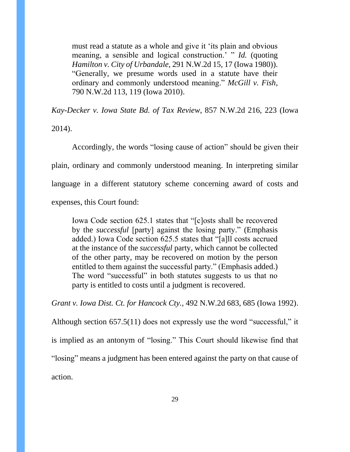must read a statute as a whole and give it 'its plain and obvious meaning, a sensible and logical construction.' " *Id.* (quoting *Hamilton v. City of Urbandale*, 291 N.W.2d 15, 17 (Iowa 1980)). "Generally, we presume words used in a statute have their ordinary and commonly understood meaning." *McGill v. Fish*, 790 N.W.2d 113, 119 (Iowa 2010).

*Kay-Decker v. Iowa State Bd. of Tax Review*, 857 N.W.2d 216, 223 (Iowa 2014).

Accordingly, the words "losing cause of action" should be given their plain, ordinary and commonly understood meaning. In interpreting similar language in a different statutory scheme concerning award of costs and expenses, this Court found:

Iowa Code section 625.1 states that "[c]osts shall be recovered by the *successful* [party] against the losing party." (Emphasis added.) Iowa Code section 625.5 states that "[a]ll costs accrued at the instance of the *successful* party, which cannot be collected of the other party, may be recovered on motion by the person entitled to them against the successful party." (Emphasis added.) The word "successful" in both statutes suggests to us that no party is entitled to costs until a judgment is recovered.

*Grant v. Iowa Dist. Ct. for Hancock Cty.,* 492 N.W.2d 683, 685 (Iowa 1992).

Although section 657.5(11) does not expressly use the word "successful," it is implied as an antonym of "losing." This Court should likewise find that "losing" means a judgment has been entered against the party on that cause of action.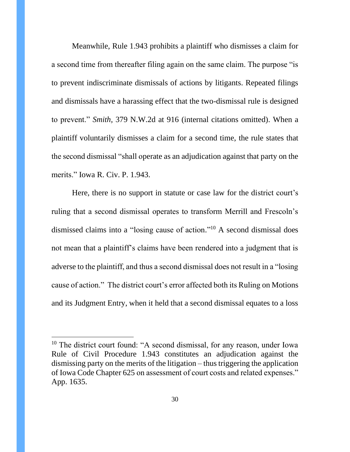Meanwhile, Rule 1.943 prohibits a plaintiff who dismisses a claim for a second time from thereafter filing again on the same claim. The purpose "is to prevent indiscriminate dismissals of actions by litigants. Repeated filings and dismissals have a harassing effect that the two-dismissal rule is designed to prevent." *Smith,* 379 N.W.2d at 916 (internal citations omitted). When a plaintiff voluntarily dismisses a claim for a second time, the rule states that the second dismissal "shall operate as an adjudication against that party on the merits." Iowa R. Civ. P. 1.943.

Here, there is no support in statute or case law for the district court's ruling that a second dismissal operates to transform Merrill and Frescoln's dismissed claims into a "losing cause of action." <sup>10</sup> A second dismissal does not mean that a plaintiff's claims have been rendered into a judgment that is adverse to the plaintiff, and thus a second dismissal does not result in a "losing cause of action." The district court's error affected both its Ruling on Motions and its Judgment Entry, when it held that a second dismissal equates to a loss

<sup>&</sup>lt;sup>10</sup> The district court found: "A second dismissal, for any reason, under Iowa Rule of Civil Procedure 1.943 constitutes an adjudication against the dismissing party on the merits of the litigation – thus triggering the application of Iowa Code Chapter 625 on assessment of court costs and related expenses." App. 1635.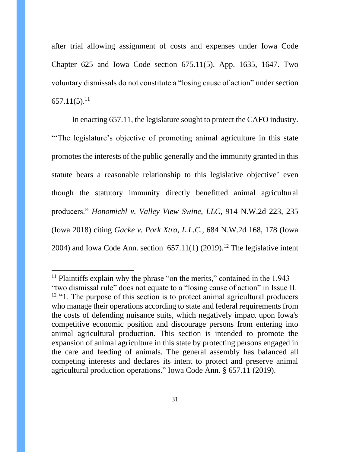after trial allowing assignment of costs and expenses under Iowa Code Chapter 625 and Iowa Code section 675.11(5). App. 1635, 1647. Two voluntary dismissals do not constitute a "losing cause of action" under section  $657.11(5)$ <sup>11</sup>

In enacting 657.11, the legislature sought to protect the CAFO industry. "The legislature's objective of promoting animal agriculture in this state promotes the interests of the public generally and the immunity granted in this statute bears a reasonable relationship to this legislative objective' even though the statutory immunity directly benefitted animal agricultural producers." *Honomichl v. Valley View Swine, LLC*, 914 N.W.2d 223, 235 (Iowa 2018) citing *Gacke v. Pork Xtra, L.L.C.*, 684 N.W.2d 168, 178 (Iowa 2004) and Iowa Code Ann. section  $657.11(1)$  (2019).<sup>12</sup> The legislative intent

<sup>&</sup>lt;sup>11</sup> Plaintiffs explain why the phrase "on the merits," contained in the  $1.943$ "two dismissal rule" does not equate to a "losing cause of action" in Issue II. <sup>12</sup> "1. The purpose of this section is to protect animal agricultural producers who manage their operations according to state and federal requirements from the costs of defending nuisance suits, which negatively impact upon Iowa's competitive economic position and discourage persons from entering into animal agricultural production. This section is intended to promote the expansion of animal agriculture in this state by protecting persons engaged in the care and feeding of animals. The general assembly has balanced all competing interests and declares its intent to protect and preserve animal agricultural production operations." Iowa Code Ann. § 657.11 (2019).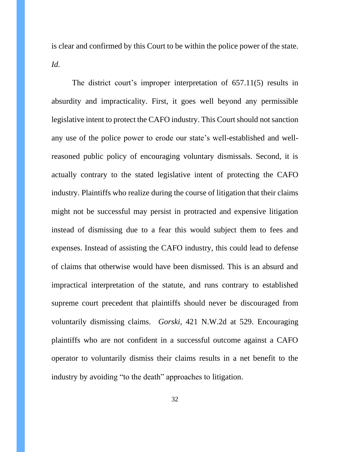is clear and confirmed by this Court to be within the police power of the state. *Id.*

The district court's improper interpretation of 657.11(5) results in absurdity and impracticality. First, it goes well beyond any permissible legislative intent to protect the CAFO industry. This Court should not sanction any use of the police power to erode our state's well-established and wellreasoned public policy of encouraging voluntary dismissals. Second, it is actually contrary to the stated legislative intent of protecting the CAFO industry. Plaintiffs who realize during the course of litigation that their claims might not be successful may persist in protracted and expensive litigation instead of dismissing due to a fear this would subject them to fees and expenses. Instead of assisting the CAFO industry, this could lead to defense of claims that otherwise would have been dismissed. This is an absurd and impractical interpretation of the statute, and runs contrary to established supreme court precedent that plaintiffs should never be discouraged from voluntarily dismissing claims. *Gorski*, 421 N.W.2d at 529. Encouraging plaintiffs who are not confident in a successful outcome against a CAFO operator to voluntarily dismiss their claims results in a net benefit to the industry by avoiding "to the death" approaches to litigation.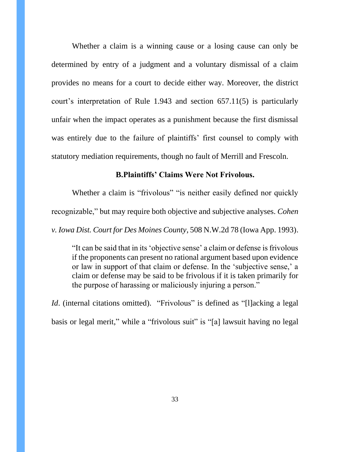Whether a claim is a winning cause or a losing cause can only be determined by entry of a judgment and a voluntary dismissal of a claim provides no means for a court to decide either way. Moreover, the district court's interpretation of Rule 1.943 and section 657.11(5) is particularly unfair when the impact operates as a punishment because the first dismissal was entirely due to the failure of plaintiffs' first counsel to comply with statutory mediation requirements, though no fault of Merrill and Frescoln.

### **B.Plaintiffs' Claims Were Not Frivolous.**

<span id="page-32-0"></span>Whether a claim is "frivolous" "is neither easily defined nor quickly recognizable," but may require both objective and subjective analyses. *Cohen v. Iowa Dist. Court for Des Moines County*, 508 N.W.2d 78 (Iowa App. 1993).

"It can be said that in its 'objective sense' a claim or defense is frivolous if the proponents can present no rational argument based upon evidence or law in support of that claim or defense. In the 'subjective sense,' a claim or defense may be said to be frivolous if it is taken primarily for the purpose of harassing or maliciously injuring a person."

*Id.* (internal citations omitted). "Frivolous" is defined as "[I]acking a legal basis or legal merit," while a "frivolous suit" is "[a] lawsuit having no legal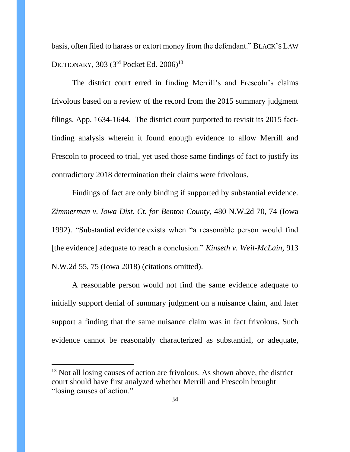basis, often filed to harass or extort money from the defendant." BLACK'S LAW DICTIONARY, 303 (3<sup>rd</sup> Pocket Ed. 2006)<sup>13</sup>

The district court erred in finding Merrill's and Frescoln's claims frivolous based on a review of the record from the 2015 summary judgment filings. App. 1634-1644. The district court purported to revisit its 2015 factfinding analysis wherein it found enough evidence to allow Merrill and Frescoln to proceed to trial, yet used those same findings of fact to justify its contradictory 2018 determination their claims were frivolous.

Findings of fact are only binding if supported by substantial evidence. *Zimmerman v. Iowa Dist. Ct. for Benton County*, 480 N.W.2d 70, 74 (Iowa 1992). "Substantial evidence exists when "a reasonable person would find [the evidence] adequate to reach a conclusion." *Kinseth v. Weil-McLain*, 913 N.W.2d 55, 75 (Iowa 2018) (citations omitted).

A reasonable person would not find the same evidence adequate to initially support denial of summary judgment on a nuisance claim, and later support a finding that the same nuisance claim was in fact frivolous. Such evidence cannot be reasonably characterized as substantial, or adequate,

<sup>&</sup>lt;sup>13</sup> Not all losing causes of action are frivolous. As shown above, the district court should have first analyzed whether Merrill and Frescoln brought "losing causes of action."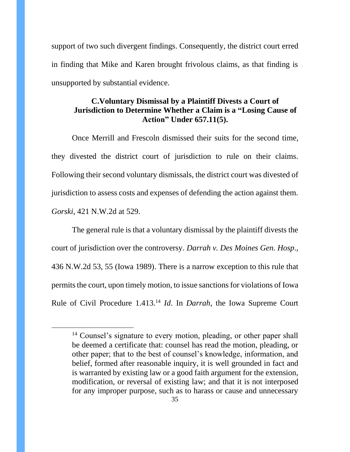support of two such divergent findings. Consequently, the district court erred in finding that Mike and Karen brought frivolous claims, as that finding is unsupported by substantial evidence.

## <span id="page-34-0"></span>**C.Voluntary Dismissal by a Plaintiff Divests a Court of Jurisdiction to Determine Whether a Claim is a "Losing Cause of Action" Under 657.11(5).**

Once Merrill and Frescoln dismissed their suits for the second time, they divested the district court of jurisdiction to rule on their claims. Following their second voluntary dismissals, the district court was divested of jurisdiction to assess costs and expenses of defending the action against them. *Gorski*, 421 N.W.2d at 529.

The general rule is that a voluntary dismissal by the plaintiff divests the court of jurisdiction over the controversy. *Darrah v. Des Moines Gen. Hosp*., 436 N.W.2d 53, 55 (Iowa 1989). There is a narrow exception to this rule that permits the court, upon timely motion, to issue sanctions for violations of Iowa Rule of Civil Procedure 1.413. <sup>14</sup> *Id*. In *Darrah*, the Iowa Supreme Court

<sup>&</sup>lt;sup>14</sup> Counsel's signature to every motion, pleading, or other paper shall be deemed a certificate that: counsel has read the motion, pleading, or other paper; that to the best of counsel's knowledge, information, and belief, formed after reasonable inquiry, it is well grounded in fact and is warranted by existing law or a good faith argument for the extension, modification, or reversal of existing law; and that it is not interposed for any improper purpose, such as to harass or cause and unnecessary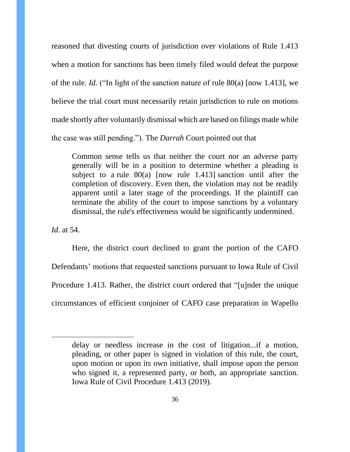reasoned that divesting courts of jurisdiction over violations of Rule 1.413 when a motion for sanctions has been timely filed would defeat the purpose of the rule. *Id.* ("In light of the sanction nature of rule 80(a) [now 1.413], we believe the trial court must necessarily retain jurisdiction to rule on motions made shortly after voluntarily dismissal which are based on filings made while the case was still pending."). The *Darrah* Court pointed out that

Common sense tells us that neither the court nor an adverse party generally will be in a position to determine whether a pleading is subject to a rule 80(a) [now rule 1.413] sanction until after the completion of discovery. Even then, the violation may not be readily apparent until a later stage of the proceedings. If the plaintiff can terminate the ability of the court to impose sanctions by a voluntary dismissal, the rule's effectiveness would be significantly undermined.

*Id*. at 54.

Here, the district court declined to grant the portion of the CAFO Defendants' motions that requested sanctions pursuant to Iowa Rule of Civil Procedure 1.413. Rather, the district court ordered that "[u]nder the unique circumstances of efficient conjoiner of CAFO case preparation in Wapello

delay or needless increase in the cost of litigation...if a motion, pleading, or other paper is signed in violation of this rule, the court, upon motion or upon its own initiative, shall impose upon the person who signed it, a represented party, or both, an appropriate sanction. Iowa Rule of Civil Procedure 1.413 (2019).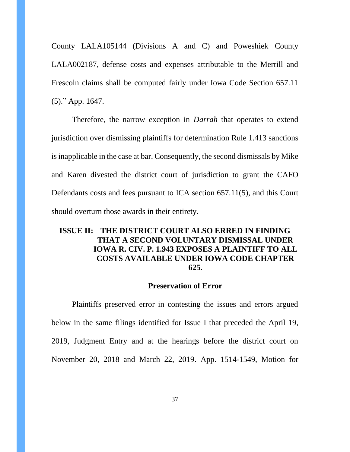County LALA105144 (Divisions A and C) and Poweshiek County LALA002187, defense costs and expenses attributable to the Merrill and Frescoln claims shall be computed fairly under Iowa Code Section 657.11 (5)." App. 1647.

Therefore, the narrow exception in *Darrah* that operates to extend jurisdiction over dismissing plaintiffs for determination Rule 1.413 sanctions is inapplicable in the case at bar. Consequently, the second dismissals by Mike and Karen divested the district court of jurisdiction to grant the CAFO Defendants costs and fees pursuant to ICA section 657.11(5), and this Court should overturn those awards in their entirety.

# <span id="page-36-0"></span>**ISSUE II: THE DISTRICT COURT ALSO ERRED IN FINDING THAT A SECOND VOLUNTARY DISMISSAL UNDER IOWA R. CIV. P. 1.943 EXPOSES A PLAINTIFF TO ALL COSTS AVAILABLE UNDER IOWA CODE CHAPTER 625.**

#### **Preservation of Error**

<span id="page-36-1"></span>Plaintiffs preserved error in contesting the issues and errors argued below in the same filings identified for Issue I that preceded the April 19, 2019, Judgment Entry and at the hearings before the district court on November 20, 2018 and March 22, 2019. App. 1514-1549, Motion for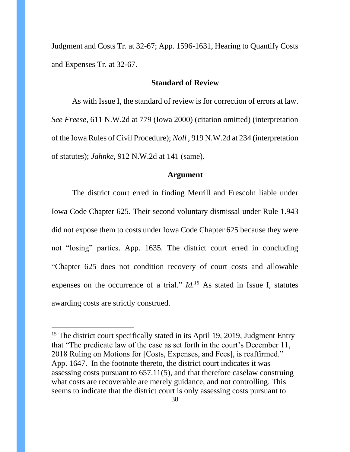Judgment and Costs Tr. at 32-67; App. 1596-1631, Hearing to Quantify Costs and Expenses Tr. at 32-67.

## **Standard of Review**

<span id="page-37-0"></span>As with Issue I, the standard of review is for correction of errors at law. *See Freese,* 611 N.W.2d at 779 (Iowa 2000) (citation omitted) (interpretation of the Iowa Rules of Civil Procedure); *Noll* , 919 N.W.2d at 234 (interpretation of statutes); *Jahnke,* 912 N.W.2d at 141 (same).

#### **Argument**

<span id="page-37-1"></span>The district court erred in finding Merrill and Frescoln liable under Iowa Code Chapter 625. Their second voluntary dismissal under Rule 1.943 did not expose them to costs under Iowa Code Chapter 625 because they were not "losing" parties. App. 1635. The district court erred in concluding "Chapter 625 does not condition recovery of court costs and allowable expenses on the occurrence of a trial." *Id.<sup>15</sup>* As stated in Issue I, statutes awarding costs are strictly construed.

<sup>&</sup>lt;sup>15</sup> The district court specifically stated in its April 19, 2019, Judgment Entry that "The predicate law of the case as set forth in the court's December 11, 2018 Ruling on Motions for [Costs, Expenses, and Fees], is reaffirmed." App. 1647. In the footnote thereto, the district court indicates it was assessing costs pursuant to 657.11(5), and that therefore caselaw construing what costs are recoverable are merely guidance, and not controlling. This seems to indicate that the district court is only assessing costs pursuant to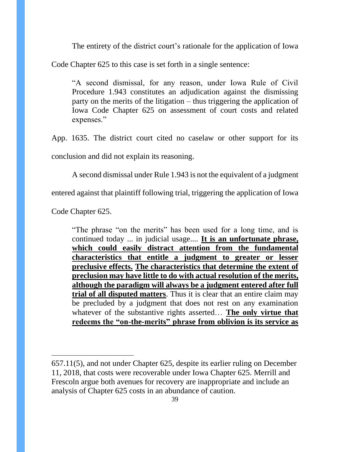The entirety of the district court's rationale for the application of Iowa

Code Chapter 625 to this case is set forth in a single sentence:

"A second dismissal, for any reason, under Iowa Rule of Civil Procedure 1.943 constitutes an adjudication against the dismissing party on the merits of the litigation – thus triggering the application of Iowa Code Chapter 625 on assessment of court costs and related expenses."

App. 1635. The district court cited no caselaw or other support for its conclusion and did not explain its reasoning.

A second dismissal under Rule 1.943 is not the equivalent of a judgment

entered against that plaintiff following trial, triggering the application of Iowa

Code Chapter 625.

"The phrase "on the merits" has been used for a long time, and is continued today ... in judicial usage.... **It is an unfortunate phrase, which could easily distract attention from the fundamental characteristics that entitle a judgment to greater or lesser preclusive effects. The characteristics that determine the extent of preclusion may have little to do with actual resolution of the merits, although the paradigm will always be a judgment entered after full trial of all disputed matters**. Thus it is clear that an entire claim may be precluded by a judgment that does not rest on any examination whatever of the substantive rights asserted… **The only virtue that redeems the "on-the-merits" phrase from oblivion is its service as** 

<sup>657.11(5),</sup> and not under Chapter 625, despite its earlier ruling on December 11, 2018, that costs were recoverable under Iowa Chapter 625. Merrill and Frescoln argue both avenues for recovery are inappropriate and include an analysis of Chapter 625 costs in an abundance of caution.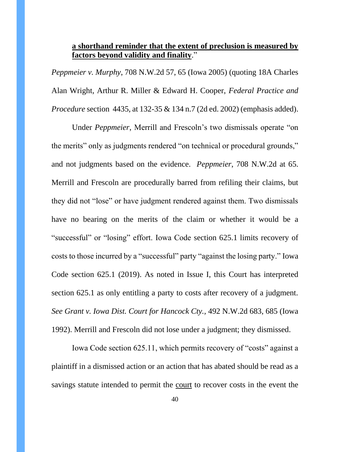## **a shorthand reminder that the extent of preclusion is measured by factors beyond validity and finality**."

*Peppmeier v. Murphy*, 708 N.W.2d 57, 65 (Iowa 2005) (quoting 18A Charles Alan Wright, Arthur R. Miller & Edward H. Cooper, *Federal Practice and Procedure* section 4435, at 132-35 & 134 n.7 (2d ed. 2002) (emphasis added).

Under *Peppmeier*, Merrill and Frescoln's two dismissals operate "on the merits" only as judgments rendered "on technical or procedural grounds," and not judgments based on the evidence. *Peppmeier*, 708 N.W.2d at 65. Merrill and Frescoln are procedurally barred from refiling their claims, but they did not "lose" or have judgment rendered against them. Two dismissals have no bearing on the merits of the claim or whether it would be a "successful" or "losing" effort. Iowa Code section 625.1 limits recovery of costs to those incurred by a "successful" party "against the losing party." Iowa Code section 625.1 (2019). As noted in Issue I, this Court has interpreted section 625.1 as only entitling a party to costs after recovery of a judgment. *See Grant v. Iowa Dist. Court for Hancock Cty.,* 492 N.W.2d 683, 685 (Iowa 1992). Merrill and Frescoln did not lose under a judgment; they dismissed.

Iowa Code section 625.11, which permits recovery of "costs" against a plaintiff in a dismissed action or an action that has abated should be read as a savings statute intended to permit the court to recover costs in the event the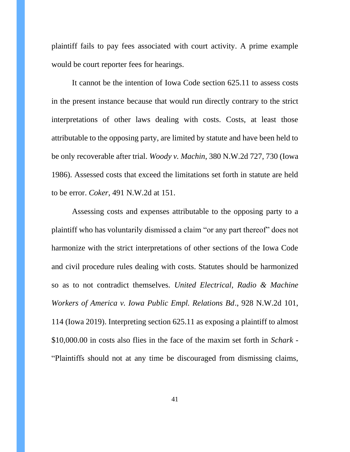plaintiff fails to pay fees associated with court activity. A prime example would be court reporter fees for hearings.

It cannot be the intention of Iowa Code section 625.11 to assess costs in the present instance because that would run directly contrary to the strict interpretations of other laws dealing with costs. Costs, at least those attributable to the opposing party, are limited by statute and have been held to be only recoverable after trial. *Woody v. Machin*, 380 N.W.2d 727, 730 (Iowa 1986). Assessed costs that exceed the limitations set forth in statute are held to be error. *Coker*, 491 N.W.2d at 151.

Assessing costs and expenses attributable to the opposing party to a plaintiff who has voluntarily dismissed a claim "or any part thereof" does not harmonize with the strict interpretations of other sections of the Iowa Code and civil procedure rules dealing with costs. Statutes should be harmonized so as to not contradict themselves. *United Electrical, Radio & Machine Workers of America v. Iowa Public Empl. Relations Bd*., 928 N.W.2d 101, 114 (Iowa 2019). Interpreting section 625.11 as exposing a plaintiff to almost \$10,000.00 in costs also flies in the face of the maxim set forth in *Schark* - "Plaintiffs should not at any time be discouraged from dismissing claims,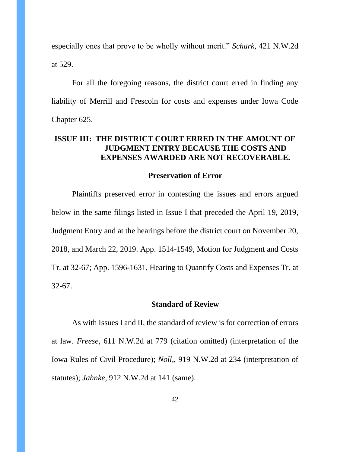especially ones that prove to be wholly without merit." *Schark,* 421 N.W.2d at 529.

For all the foregoing reasons, the district court erred in finding any liability of Merrill and Frescoln for costs and expenses under Iowa Code Chapter 625.

## <span id="page-41-0"></span>**ISSUE III: THE DISTRICT COURT ERRED IN THE AMOUNT OF JUDGMENT ENTRY BECAUSE THE COSTS AND EXPENSES AWARDED ARE NOT RECOVERABLE.**

#### **Preservation of Error**

<span id="page-41-1"></span>Plaintiffs preserved error in contesting the issues and errors argued below in the same filings listed in Issue I that preceded the April 19, 2019, Judgment Entry and at the hearings before the district court on November 20, 2018, and March 22, 2019. App. 1514-1549, Motion for Judgment and Costs Tr. at 32-67; App. 1596-1631, Hearing to Quantify Costs and Expenses Tr. at 32-67.

#### **Standard of Review**

<span id="page-41-2"></span>As with Issues I and II, the standard of review is for correction of errors at law. *Freese,* 611 N.W.2d at 779 (citation omitted) (interpretation of the Iowa Rules of Civil Procedure); *Noll,*, 919 N.W.2d at 234 (interpretation of statutes); *Jahnke*, 912 N.W.2d at 141 (same).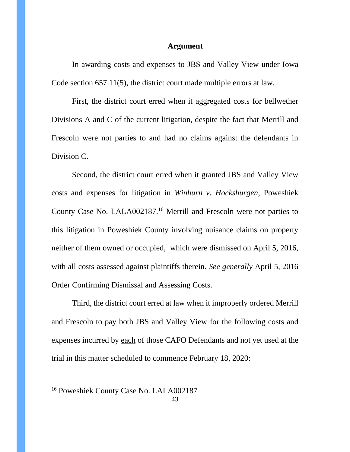#### **Argument**

<span id="page-42-0"></span>In awarding costs and expenses to JBS and Valley View under Iowa Code section 657.11(5), the district court made multiple errors at law.

First, the district court erred when it aggregated costs for bellwether Divisions A and C of the current litigation, despite the fact that Merrill and Frescoln were not parties to and had no claims against the defendants in Division C.

Second, the district court erred when it granted JBS and Valley View costs and expenses for litigation in *Winburn v. Hocksburgen,* Poweshiek County Case No. LALA002187*.* <sup>16</sup> Merrill and Frescoln were not parties to this litigation in Poweshiek County involving nuisance claims on property neither of them owned or occupied, which were dismissed on April 5, 2016, with all costs assessed against plaintiffs therein. *See generally* April 5, 2016 Order Confirming Dismissal and Assessing Costs.

Third, the district court erred at law when it improperly ordered Merrill and Frescoln to pay both JBS and Valley View for the following costs and expenses incurred by each of those CAFO Defendants and not yet used at the trial in this matter scheduled to commence February 18, 2020:

<sup>16</sup> Poweshiek County Case No. LALA002187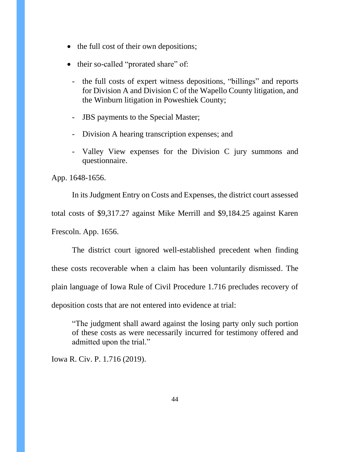- the full cost of their own depositions;
- their so-called "prorated share" of:
	- the full costs of expert witness depositions, "billings" and reports for Division A and Division C of the Wapello County litigation, and the Winburn litigation in Poweshiek County;
	- JBS payments to the Special Master;
	- Division A hearing transcription expenses; and
	- Valley View expenses for the Division C jury summons and questionnaire.

App. 1648-1656.

In its Judgment Entry on Costs and Expenses, the district court assessed total costs of \$9,317.27 against Mike Merrill and \$9,184.25 against Karen Frescoln. App. 1656.

The district court ignored well-established precedent when finding these costs recoverable when a claim has been voluntarily dismissed. The plain language of Iowa Rule of Civil Procedure 1.716 precludes recovery of deposition costs that are not entered into evidence at trial:

"The judgment shall award against the losing party only such portion of these costs as were necessarily incurred for testimony offered and admitted upon the trial."

Iowa R. Civ. P. 1.716 (2019).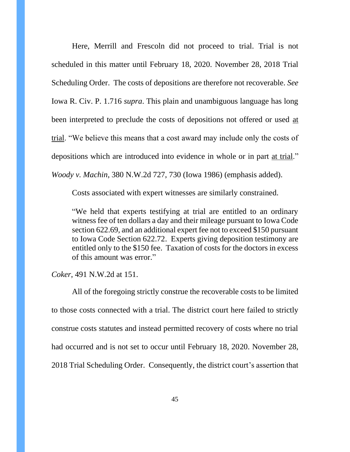Here, Merrill and Frescoln did not proceed to trial. Trial is not scheduled in this matter until February 18, 2020. November 28, 2018 Trial Scheduling Order. The costs of depositions are therefore not recoverable. *See*  Iowa R. Civ. P. 1.716 *supra*. This plain and unambiguous language has long been interpreted to preclude the costs of depositions not offered or used at trial. "We believe this means that a cost award may include only the costs of depositions which are introduced into evidence in whole or in part at trial." *Woody v. Machin*, 380 N.W.2d 727, 730 (Iowa 1986) (emphasis added).

Costs associated with expert witnesses are similarly constrained.

"We held that experts testifying at trial are entitled to an ordinary witness fee of ten dollars a day and their mileage pursuant to Iowa Code section 622.69, and an additional expert fee not to exceed \$150 pursuant to Iowa Code Section 622.72. Experts giving deposition testimony are entitled only to the \$150 fee. Taxation of costs for the doctors in excess of this amount was error."

*Coker*, 491 N.W.2d at 151.

All of the foregoing strictly construe the recoverable costs to be limited to those costs connected with a trial. The district court here failed to strictly construe costs statutes and instead permitted recovery of costs where no trial had occurred and is not set to occur until February 18, 2020. November 28, 2018 Trial Scheduling Order. Consequently, the district court's assertion that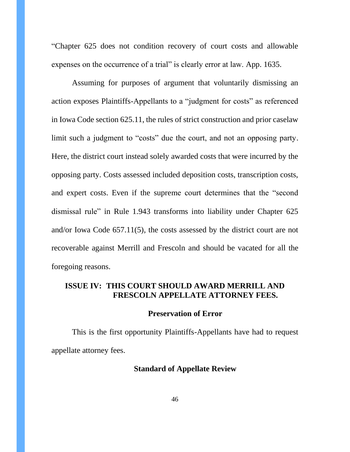"Chapter 625 does not condition recovery of court costs and allowable expenses on the occurrence of a trial" is clearly error at law. App. 1635.

Assuming for purposes of argument that voluntarily dismissing an action exposes Plaintiffs-Appellants to a "judgment for costs" as referenced in Iowa Code section 625.11, the rules of strict construction and prior caselaw limit such a judgment to "costs" due the court, and not an opposing party. Here, the district court instead solely awarded costs that were incurred by the opposing party. Costs assessed included deposition costs, transcription costs, and expert costs. Even if the supreme court determines that the "second dismissal rule" in Rule 1.943 transforms into liability under Chapter 625 and/or Iowa Code 657.11(5), the costs assessed by the district court are not recoverable against Merrill and Frescoln and should be vacated for all the foregoing reasons.

## <span id="page-45-0"></span>**ISSUE IV: THIS COURT SHOULD AWARD MERRILL AND FRESCOLN APPELLATE ATTORNEY FEES.**

#### **Preservation of Error**

<span id="page-45-2"></span><span id="page-45-1"></span>This is the first opportunity Plaintiffs-Appellants have had to request appellate attorney fees.

### **Standard of Appellate Review**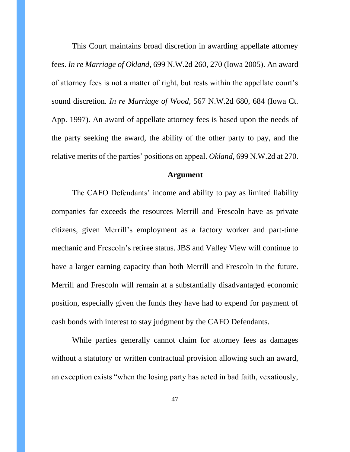This Court maintains broad discretion in awarding appellate attorney fees. *In re Marriage of Okland*, 699 N.W.2d 260, 270 (Iowa 2005). An award of attorney fees is not a matter of right, but rests within the appellate court's sound discretion. *In re Marriage of Wood*, 567 N.W.2d 680, 684 (Iowa Ct. App. 1997). An award of appellate attorney fees is based upon the needs of the party seeking the award, the ability of the other party to pay, and the relative merits of the parties' positions on appeal. *Okland*, 699 N.W.2d at 270.

#### **Argument**

<span id="page-46-0"></span>The CAFO Defendants' income and ability to pay as limited liability companies far exceeds the resources Merrill and Frescoln have as private citizens, given Merrill's employment as a factory worker and part-time mechanic and Frescoln's retiree status. JBS and Valley View will continue to have a larger earning capacity than both Merrill and Frescoln in the future. Merrill and Frescoln will remain at a substantially disadvantaged economic position, especially given the funds they have had to expend for payment of cash bonds with interest to stay judgment by the CAFO Defendants.

While parties generally cannot claim for attorney fees as damages without a statutory or written contractual provision allowing such an award, an exception exists "when the losing party has acted in bad faith, vexatiously,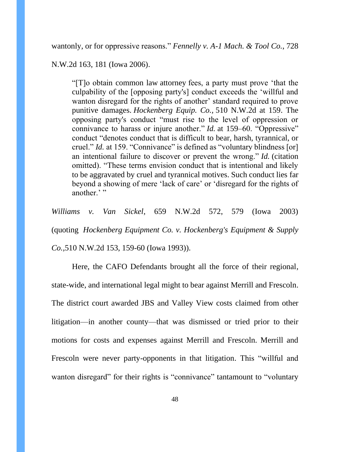wantonly, or for oppressive reasons." *Fennelly v. A-1 Mach. & Tool Co.*, 728

N.W.2d 163, 181 (Iowa 2006).

"[T]o obtain common law attorney fees, a party must prove 'that the culpability of the [opposing party's] conduct exceeds the 'willful and wanton disregard for the rights of another' standard required to prove punitive damages. *Hockenberg Equip. Co.,* 510 N.W.2d at 159. The opposing party's conduct "must rise to the level of oppression or connivance to harass or injure another." *Id.* at 159–60. "Oppressive" conduct "denotes conduct that is difficult to bear, harsh, tyrannical, or cruel." *Id.* at 159. "Connivance" is defined as "voluntary blindness [or] an intentional failure to discover or prevent the wrong." *Id.* (citation omitted). "These terms envision conduct that is intentional and likely to be aggravated by cruel and tyrannical motives. Such conduct lies far beyond a showing of mere 'lack of care' or 'disregard for the rights of another.'"

*Williams v. Van Sickel*, 659 N.W.2d 572, 579 (Iowa 2003) (quoting *Hockenberg Equipment Co. v. Hockenberg's Equipment & Supply Co.,*510 N.W.2d 153, 159-60 (Iowa 1993)).

Here, the CAFO Defendants brought all the force of their regional, state-wide, and international legal might to bear against Merrill and Frescoln. The district court awarded JBS and Valley View costs claimed from other litigation—in another county—that was dismissed or tried prior to their motions for costs and expenses against Merrill and Frescoln. Merrill and Frescoln were never party-opponents in that litigation. This "willful and wanton disregard" for their rights is "connivance" tantamount to "voluntary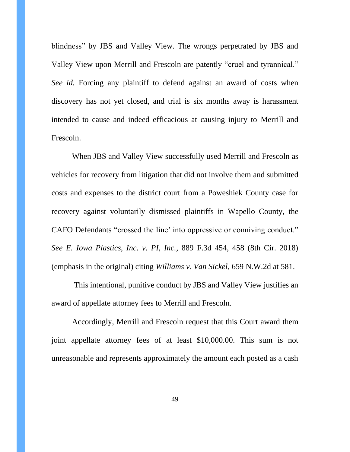blindness" by JBS and Valley View. The wrongs perpetrated by JBS and Valley View upon Merrill and Frescoln are patently "cruel and tyrannical." *See id.* Forcing any plaintiff to defend against an award of costs when discovery has not yet closed, and trial is six months away is harassment intended to cause and indeed efficacious at causing injury to Merrill and Frescoln.

When JBS and Valley View successfully used Merrill and Frescoln as vehicles for recovery from litigation that did not involve them and submitted costs and expenses to the district court from a Poweshiek County case for recovery against voluntarily dismissed plaintiffs in Wapello County, the CAFO Defendants "crossed the line' into oppressive or conniving conduct." *See E. Iowa Plastics, Inc. v. PI, Inc.*, 889 F.3d 454, 458 (8th Cir. 2018) (emphasis in the original) citing *Williams v. Van Sickel*, 659 N.W.2d at 581.

This intentional, punitive conduct by JBS and Valley View justifies an award of appellate attorney fees to Merrill and Frescoln.

Accordingly, Merrill and Frescoln request that this Court award them joint appellate attorney fees of at least \$10,000.00. This sum is not unreasonable and represents approximately the amount each posted as a cash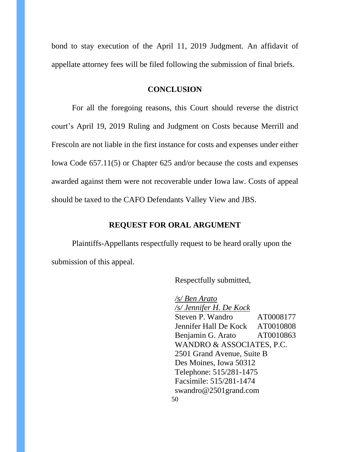bond to stay execution of the April 11, 2019 Judgment. An affidavit of appellate attorney fees will be filed following the submission of final briefs.

#### **CONCLUSION**

<span id="page-49-0"></span>For all the foregoing reasons, this Court should reverse the district court's April 19, 2019 Ruling and Judgment on Costs because Merrill and Frescoln are not liable in the first instance for costs and expenses under either Iowa Code 657.11(5) or Chapter 625 and/or because the costs and expenses awarded against them were not recoverable under Iowa law. Costs of appeal should be taxed to the CAFO Defendants Valley View and JBS.

#### **REQUEST FOR ORAL ARGUMENT**

<span id="page-49-1"></span>Plaintiffs-Appellants respectfully request to be heard orally upon the submission of this appeal.

Respectfully submitted,

50 */s/ Ben Arato /s/ Jennifer H. De Kock* Steven P. Wandro AT0008177 Jennifer Hall De Kock AT0010808 Benjamin G. Arato AT0010863 WANDRO & ASSOCIATES, P.C. 2501 Grand Avenue, Suite B Des Moines, Iowa 50312 Telephone: 515/281-1475 Facsimile: 515/281-1474 swandro@2501grand.com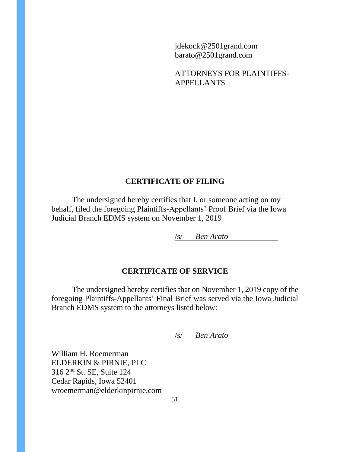jdekock@2501grand.com barato@2501grand.com

ATTORNEYS FOR PLAINTIFFS-APPELLANTS

## **CERTIFICATE OF FILING**

<span id="page-50-0"></span>The undersigned hereby certifies that I, or someone acting on my behalf, filed the foregoing Plaintiffs-Appellants' Proof Brief via the Iowa Judicial Branch EDMS system on November 1, 2019

/s/ *Ben Arato*

## **CERTIFICATE OF SERVICE**

<span id="page-50-1"></span>The undersigned hereby certifies that on November 1, 2019 copy of the foregoing Plaintiffs-Appellants' Final Brief was served via the Iowa Judicial Branch EDMS system to the attorneys listed below:

/s/ *Ben Arato*

William H. Roemerman ELDERKIN & PIRNIE, PLC 316 2nd St. SE, Suite 124 Cedar Rapids, Iowa 52401 wroemerman@elderkinpirnie.com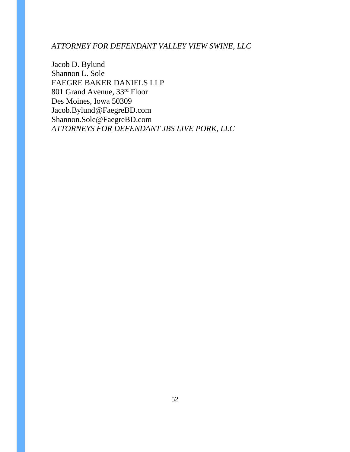### *ATTORNEY FOR DEFENDANT VALLEY VIEW SWINE, LLC*

Jacob D. Bylund Shannon L. Sole FAEGRE BAKER DANIELS LLP 801 Grand Avenue, 33rd Floor Des Moines, Iowa 50309 Jacob.Bylund@FaegreBD.com Shannon.Sole@FaegreBD.com *ATTORNEYS FOR DEFENDANT JBS LIVE PORK, LLC*